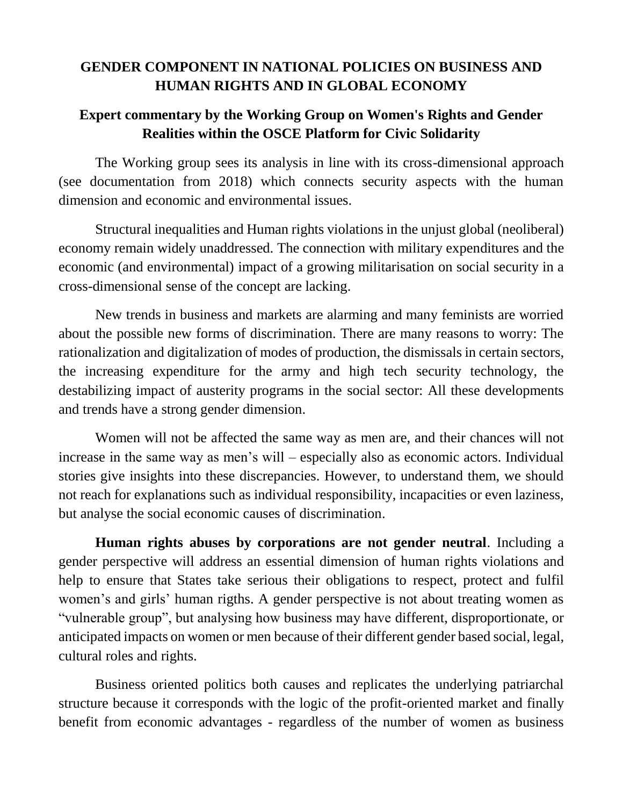## **GENDER COMPONENT IN NATIONAL POLICIES ON BUSINESS AND HUMAN RIGHTS AND IN GLOBAL ECONOMY**

## **Expert commentary by the Working Group on Women's Rights and Gender Realities within the OSCE Platform for Civic Solidarity**

The Working group sees its analysis in line with its cross-dimensional approach (see documentation from 2018) which connects security aspects with the human dimension and economic and environmental issues.

Structural inequalities and Human rights violations in the unjust global (neoliberal) economy remain widely unaddressed. The connection with military expenditures and the economic (and environmental) impact of a growing militarisation on social security in a cross-dimensional sense of the concept are lacking.

New trends in business and markets are alarming and many feminists are worried about the possible new forms of discrimination. There are many reasons to worry: The rationalization and digitalization of modes of production, the dismissals in certain sectors, the increasing expenditure for the army and high tech security technology, the destabilizing impact of austerity programs in the social sector: All these developments and trends have a strong gender dimension.

Women will not be affected the same way as men are, and their chances will not increase in the same way as men's will – especially also as economic actors. Individual stories give insights into these discrepancies. However, to understand them, we should not reach for explanations such as individual responsibility, incapacities or even laziness, but analyse the social economic causes of discrimination.

**Human rights abuses by corporations are not gender neutral**. Including a gender perspective will address an essential dimension of human rights violations and help to ensure that States take serious their obligations to respect, protect and fulfil women's and girls' human rigths. A gender perspective is not about treating women as "vulnerable group", but analysing how business may have different, disproportionate, or anticipated impacts on women or men because of their different gender based social, legal, cultural roles and rights.

Business oriented politics both causes and replicates the underlying patriarchal structure because it corresponds with the logic of the profit-oriented market and finally benefit from economic advantages - regardless of the number of women as business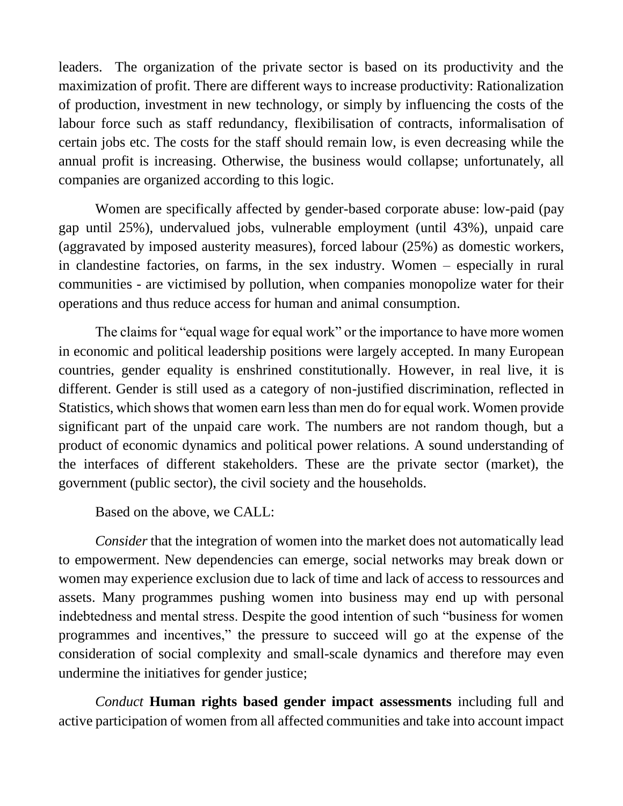leaders. The organization of the private sector is based on its productivity and the maximization of profit. There are different ways to increase productivity: Rationalization of production, investment in new technology, or simply by influencing the costs of the labour force such as staff redundancy, flexibilisation of contracts, informalisation of certain jobs etc. The costs for the staff should remain low, is even decreasing while the annual profit is increasing. Otherwise, the business would collapse; unfortunately, all companies are organized according to this logic.

Women are specifically affected by gender-based corporate abuse: low-paid (pay gap until 25%), undervalued jobs, vulnerable employment (until 43%), unpaid care (aggravated by imposed austerity measures), forced labour (25%) as domestic workers, in clandestine factories, on farms, in the sex industry. Women – especially in rural communities - are victimised by pollution, when companies monopolize water for their operations and thus reduce access for human and animal consumption.

The claims for "equal wage for equal work" or the importance to have more women in economic and political leadership positions were largely accepted. In many European countries, gender equality is enshrined constitutionally. However, in real live, it is different. Gender is still used as a category of non-justified discrimination, reflected in Statistics, which shows that women earn less than men do for equal work. Women provide significant part of the unpaid care work. The numbers are not random though, but a product of economic dynamics and political power relations. A sound understanding of the interfaces of different stakeholders. These are the private sector (market), the government (public sector), the civil society and the households.

Based on the above, we CALL:

*Consider* that the integration of women into the market does not automatically lead to empowerment. New dependencies can emerge, social networks may break down or women may experience exclusion due to lack of time and lack of access to ressources and assets. Many programmes pushing women into business may end up with personal indebtedness and mental stress. Despite the good intention of such "business for women programmes and incentives," the pressure to succeed will go at the expense of the consideration of social complexity and small-scale dynamics and therefore may even undermine the initiatives for gender justice;

*Conduct* **Human rights based gender impact assessments** including full and active participation of women from all affected communities and take into account impact